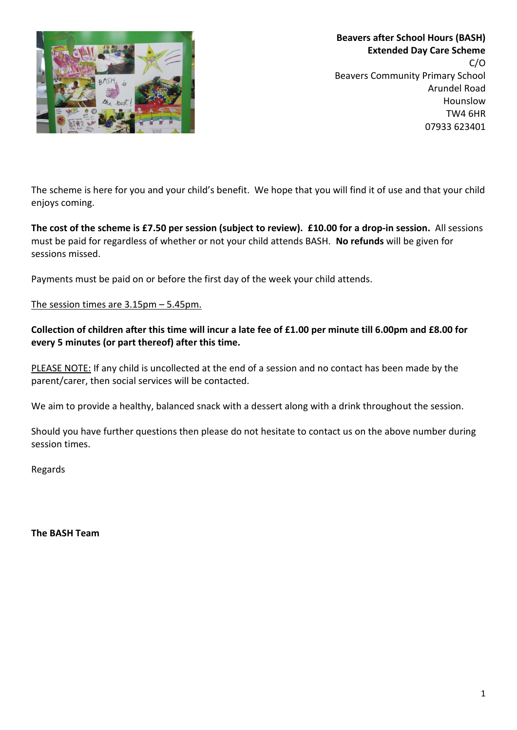

**Beavers after School Hours (BASH) Extended Day Care Scheme**  $C/O$ Beavers Community Primary School Arundel Road Hounslow TW4 6HR 07933 623401

The scheme is here for you and your child's benefit. We hope that you will find it of use and that your child enjoys coming.

**The cost of the scheme is £7.50 per session (subject to review). £10.00 for a drop-in session.** All sessions must be paid for regardless of whether or not your child attends BASH. **No refunds** will be given for sessions missed.

Payments must be paid on or before the first day of the week your child attends.

The session times are 3.15pm – 5.45pm.

#### **Collection of children after this time will incur a late fee of £1.00 per minute till 6.00pm and £8.00 for every 5 minutes (or part thereof) after this time.**

PLEASE NOTE: If any child is uncollected at the end of a session and no contact has been made by the parent/carer, then social services will be contacted.

We aim to provide a healthy, balanced snack with a dessert along with a drink throughout the session.

Should you have further questions then please do not hesitate to contact us on the above number during session times.

Regards

**The BASH Team**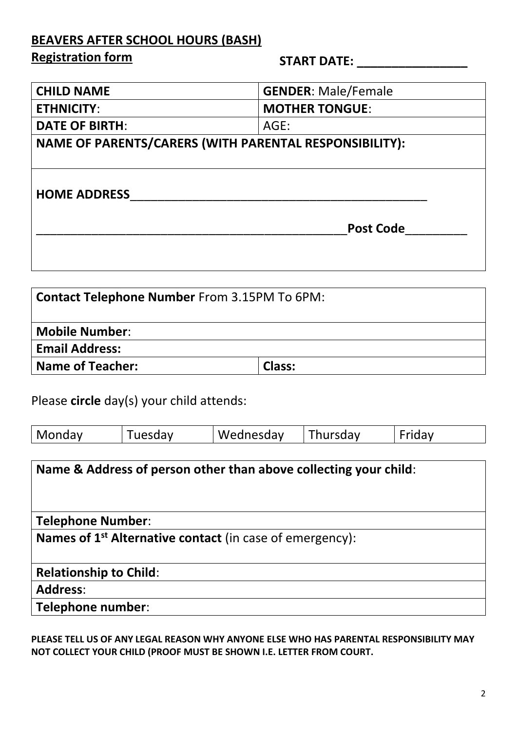### **BEAVERS AFTER SCHOOL HOURS (BASH)**

### **Registration form**

| Registration form                                                         |                                                                      | <b>START DATE:</b>    |          |                            |        |  |
|---------------------------------------------------------------------------|----------------------------------------------------------------------|-----------------------|----------|----------------------------|--------|--|
| <b>CHILD NAME</b>                                                         |                                                                      |                       |          | <b>GENDER: Male/Female</b> |        |  |
| <b>ETHNICITY:</b>                                                         |                                                                      | <b>MOTHER TONGUE:</b> |          |                            |        |  |
| <b>DATE OF BIRTH:</b>                                                     |                                                                      |                       | AGE:     |                            |        |  |
|                                                                           | NAME OF PARENTS/CARERS (WITH PARENTAL RESPONSIBILITY):               |                       |          |                            |        |  |
| <b>HOME ADDRESS</b>                                                       |                                                                      |                       |          |                            |        |  |
| <b>Post Code</b>                                                          |                                                                      |                       |          |                            |        |  |
| <b>Mobile Number:</b><br><b>Email Address:</b><br><b>Name of Teacher:</b> | <b>Contact Telephone Number From 3.15PM To 6PM:</b>                  | <b>Class:</b>         |          |                            |        |  |
|                                                                           | Please circle day(s) your child attends:                             |                       |          |                            |        |  |
| Monday                                                                    | Tuesday                                                              | Wednesday             | Thursday |                            | Friday |  |
|                                                                           | Name & Address of person other than above collecting your child:     |                       |          |                            |        |  |
| <b>Telephone Number:</b>                                                  |                                                                      |                       |          |                            |        |  |
|                                                                           | Names of 1 <sup>st</sup> Alternative contact (in case of emergency): |                       |          |                            |        |  |

# **Relationship to Child**:

**Address**:

**Telephone number**:

**PLEASE TELL US OF ANY LEGAL REASON WHY ANYONE ELSE WHO HAS PARENTAL RESPONSIBILITY MAY NOT COLLECT YOUR CHILD (PROOF MUST BE SHOWN I.E. LETTER FROM COURT.**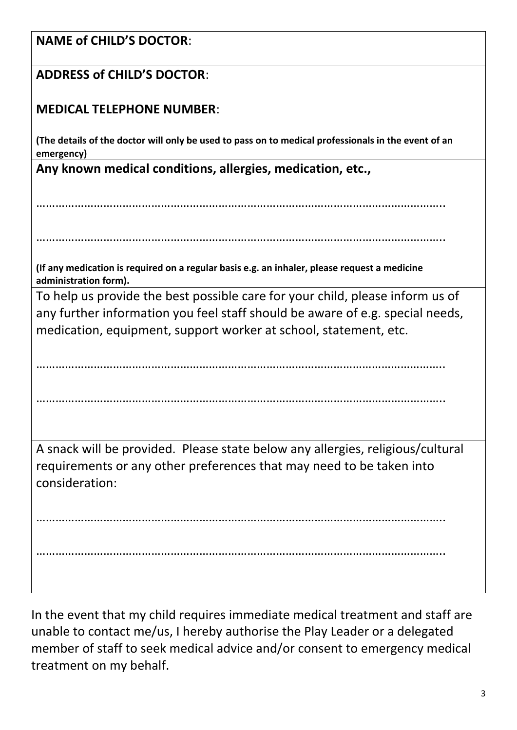| <b>NAME of CHILD'S DOCTOR:</b>                                                                                                                                           |  |  |  |  |  |
|--------------------------------------------------------------------------------------------------------------------------------------------------------------------------|--|--|--|--|--|
| <b>ADDRESS of CHILD'S DOCTOR:</b>                                                                                                                                        |  |  |  |  |  |
| <b>MEDICAL TELEPHONE NUMBER:</b>                                                                                                                                         |  |  |  |  |  |
| (The details of the doctor will only be used to pass on to medical professionals in the event of an<br>emergency)                                                        |  |  |  |  |  |
| Any known medical conditions, allergies, medication, etc.,                                                                                                               |  |  |  |  |  |
|                                                                                                                                                                          |  |  |  |  |  |
|                                                                                                                                                                          |  |  |  |  |  |
| (If any medication is required on a regular basis e.g. an inhaler, please request a medicine<br>administration form).                                                    |  |  |  |  |  |
| To help us provide the best possible care for your child, please inform us of                                                                                            |  |  |  |  |  |
| any further information you feel staff should be aware of e.g. special needs,                                                                                            |  |  |  |  |  |
| medication, equipment, support worker at school, statement, etc.                                                                                                         |  |  |  |  |  |
|                                                                                                                                                                          |  |  |  |  |  |
|                                                                                                                                                                          |  |  |  |  |  |
|                                                                                                                                                                          |  |  |  |  |  |
| A snack will be provided. Please state below any allergies, religious/cultural<br>requirements or any other preferences that may need to be taken into<br>consideration: |  |  |  |  |  |
|                                                                                                                                                                          |  |  |  |  |  |
|                                                                                                                                                                          |  |  |  |  |  |
|                                                                                                                                                                          |  |  |  |  |  |
|                                                                                                                                                                          |  |  |  |  |  |

In the event that my child requires immediate medical treatment and staff are unable to contact me/us, I hereby authorise the Play Leader or a delegated member of staff to seek medical advice and/or consent to emergency medical treatment on my behalf.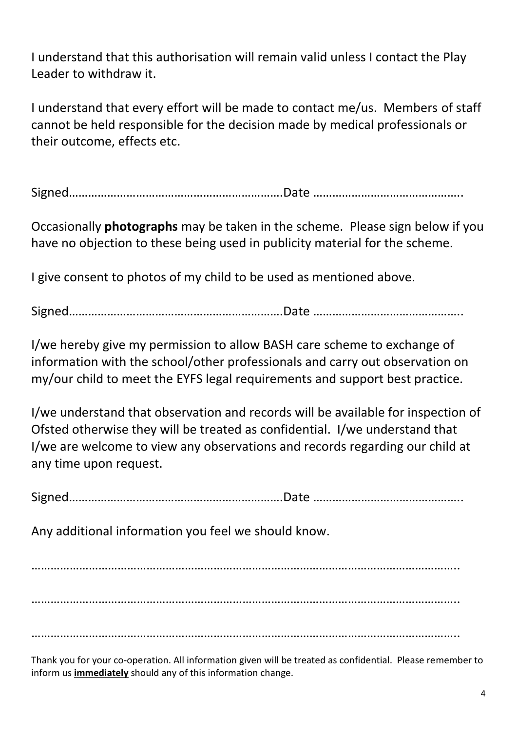I understand that this authorisation will remain valid unless I contact the Play Leader to withdraw it.

I understand that every effort will be made to contact me/us. Members of staff cannot be held responsible for the decision made by medical professionals or their outcome, effects etc.

Signed………………………………………………………….Date ………………………………………..

Occasionally **photographs** may be taken in the scheme. Please sign below if you have no objection to these being used in publicity material for the scheme.

I give consent to photos of my child to be used as mentioned above.

Signed………………………………………………………….Date ………………………………………..

I/we hereby give my permission to allow BASH care scheme to exchange of information with the school/other professionals and carry out observation on my/our child to meet the EYFS legal requirements and support best practice.

I/we understand that observation and records will be available for inspection of Ofsted otherwise they will be treated as confidential. I/we understand that I/we are welcome to view any observations and records regarding our child at any time upon request.

Signed………………………………………………………….Date ………………………………………..

Any additional information you feel we should know.

…………………………………………………………………………………………………………………….. ……………………………………………………………………………………………………………………..

. The same independent of the same independent of the same independent of the same independent of the same independent of the same independent of the same independent of the same independent of the same independent of the

Thank you for your co-operation. All information given will be treated as confidential. Please remember to inform us **immediately** should any of this information change.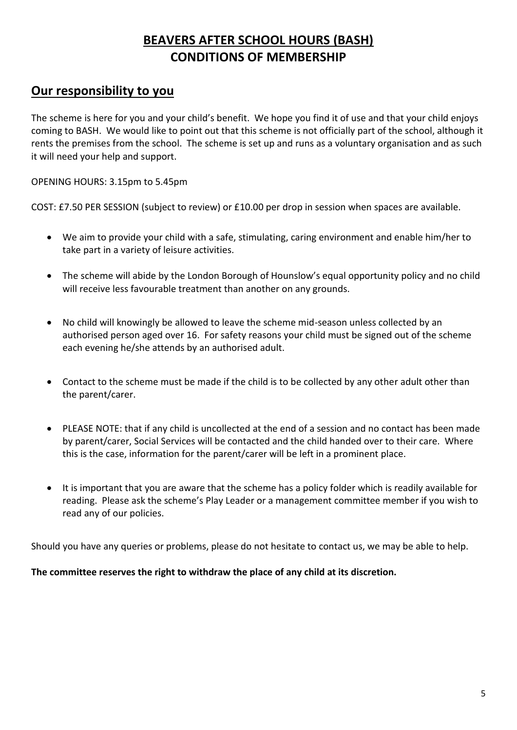#### **BEAVERS AFTER SCHOOL HOURS (BASH) CONDITIONS OF MEMBERSHIP**

#### **Our responsibility to you**

The scheme is here for you and your child's benefit. We hope you find it of use and that your child enjoys coming to BASH. We would like to point out that this scheme is not officially part of the school, although it rents the premises from the school. The scheme is set up and runs as a voluntary organisation and as such it will need your help and support.

OPENING HOURS: 3.15pm to 5.45pm

COST: £7.50 PER SESSION (subject to review) or £10.00 per drop in session when spaces are available.

- We aim to provide your child with a safe, stimulating, caring environment and enable him/her to take part in a variety of leisure activities.
- The scheme will abide by the London Borough of Hounslow's equal opportunity policy and no child will receive less favourable treatment than another on any grounds.
- No child will knowingly be allowed to leave the scheme mid-season unless collected by an authorised person aged over 16. For safety reasons your child must be signed out of the scheme each evening he/she attends by an authorised adult.
- Contact to the scheme must be made if the child is to be collected by any other adult other than the parent/carer.
- PLEASE NOTE: that if any child is uncollected at the end of a session and no contact has been made by parent/carer, Social Services will be contacted and the child handed over to their care. Where this is the case, information for the parent/carer will be left in a prominent place.
- It is important that you are aware that the scheme has a policy folder which is readily available for reading. Please ask the scheme's Play Leader or a management committee member if you wish to read any of our policies.

Should you have any queries or problems, please do not hesitate to contact us, we may be able to help.

**The committee reserves the right to withdraw the place of any child at its discretion.**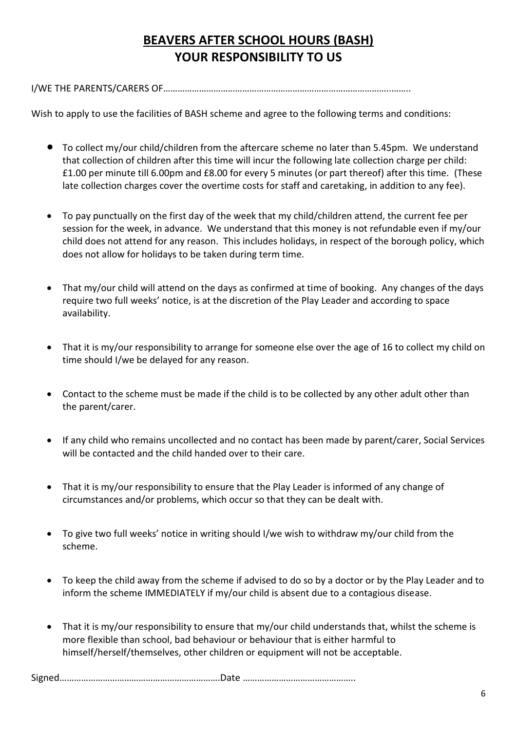### **BEAVERS AFTER SCHOOL HOURS (BASH) YOUR RESPONSIBILITY TO US**

I/WE THE PARENTS/CARERS OF…………………………………………………………………………………..……..

Wish to apply to use the facilities of BASH scheme and agree to the following terms and conditions:

- To collect my/our child/children from the aftercare scheme no later than 5.45pm. We understand that collection of children after this time will incur the following late collection charge per child: £1.00 per minute till 6.00pm and £8.00 for every 5 minutes (or part thereof) after this time. (These late collection charges cover the overtime costs for staff and caretaking, in addition to any fee).
- To pay punctually on the first day of the week that my child/children attend, the current fee per session for the week, in advance. We understand that this money is not refundable even if my/our child does not attend for any reason. This includes holidays, in respect of the borough policy, which does not allow for holidays to be taken during term time.
- That my/our child will attend on the days as confirmed at time of booking. Any changes of the days require two full weeks' notice, is at the discretion of the Play Leader and according to space availability.
- That it is my/our responsibility to arrange for someone else over the age of 16 to collect my child on time should I/we be delayed for any reason.
- Contact to the scheme must be made if the child is to be collected by any other adult other than the parent/carer.
- If any child who remains uncollected and no contact has been made by parent/carer, Social Services will be contacted and the child handed over to their care.
- That it is my/our responsibility to ensure that the Play Leader is informed of any change of circumstances and/or problems, which occur so that they can be dealt with.
- To give two full weeks' notice in writing should I/we wish to withdraw my/our child from the scheme.
- To keep the child away from the scheme if advised to do so by a doctor or by the Play Leader and to inform the scheme IMMEDIATELY if my/our child is absent due to a contagious disease.
- That it is my/our responsibility to ensure that my/our child understands that, whilst the scheme is more flexible than school, bad behaviour or behaviour that is either harmful to himself/herself/themselves, other children or equipment will not be acceptable.

Signed………………………………………………………….Date ………………………………………..